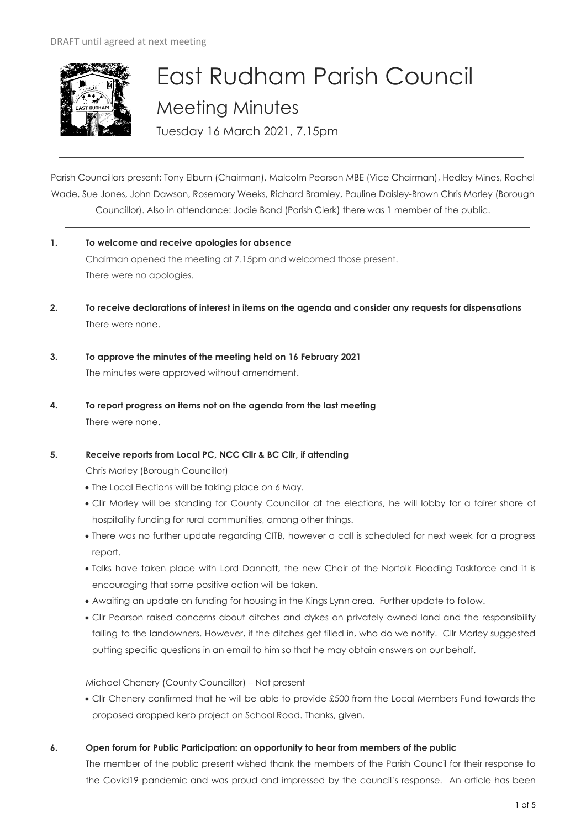

# East Rudham Parish Council Meeting Minutes

Tuesday 16 March 2021, 7.15pm

Parish Councillors present: Tony Elburn (Chairman), Malcolm Pearson MBE (Vice Chairman), Hedley Mines, Rachel Wade, Sue Jones, John Dawson, Rosemary Weeks, Richard Bramley, Pauline Daisley-Brown Chris Morley (Borough Councillor). Also in attendance: Jodie Bond (Parish Clerk) there was 1 member of the public.

- **1. To welcome and receive apologies for absence** Chairman opened the meeting at 7.15pm and welcomed those present. There were no apologies.
- **2. To receive declarations of interest in items on the agenda and consider any requests for dispensations**  There were none.
- **3. To approve the minutes of the meeting held on 16 February 2021** The minutes were approved without amendment.
- **4. To report progress on items not on the agenda from the last meeting**  There were none.
- **5. Receive reports from Local PC, NCC Cllr & BC Cllr, if attending**

Chris Morley (Borough Councillor)

- The Local Elections will be taking place on 6 May.
- Cllr Morley will be standing for County Councillor at the elections, he will lobby for a fairer share of hospitality funding for rural communities, among other things.
- There was no further update regarding CITB, however a call is scheduled for next week for a progress report.
- Talks have taken place with Lord Dannatt, the new Chair of the Norfolk Flooding Taskforce and it is encouraging that some positive action will be taken.
- Awaiting an update on funding for housing in the Kings Lynn area. Further update to follow.
- Cllr Pearson raised concerns about ditches and dykes on privately owned land and the responsibility falling to the landowners. However, if the ditches get filled in, who do we notify. Cllr Morley suggested putting specific questions in an email to him so that he may obtain answers on our behalf.

Michael Chenery (County Councillor) – Not present

- Cllr Chenery confirmed that he will be able to provide £500 from the Local Members Fund towards the proposed dropped kerb project on School Road. Thanks, given.
- **6. Open forum for Public Participation: an opportunity to hear from members of the public**

The member of the public present wished thank the members of the Parish Council for their response to the Covid19 pandemic and was proud and impressed by the council's response. An article has been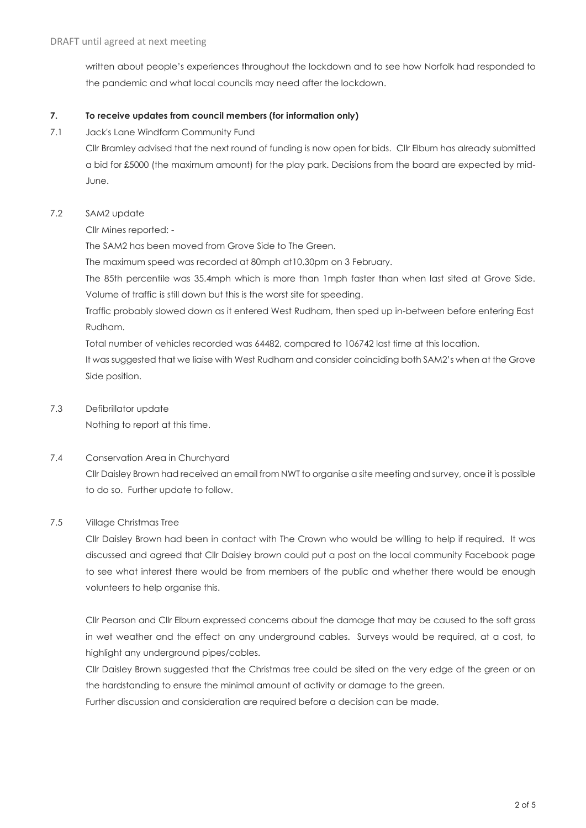written about people's experiences throughout the lockdown and to see how Norfolk had responded to the pandemic and what local councils may need after the lockdown.

#### **7. To receive updates from council members (for information only)**

7.1 Jack's Lane Windfarm Community Fund

Cllr Bramley advised that the next round of funding is now open for bids. Cllr Elburn has already submitted a bid for £5000 (the maximum amount) for the play park. Decisions from the board are expected by mid-June.

## 7.2 SAM2 update

Cllr Mines reported: -

The SAM2 has been moved from Grove Side to The Green.

The maximum speed was recorded at 80mph at10.30pm on 3 February.

The 85th percentile was 35.4mph which is more than 1mph faster than when last sited at Grove Side. Volume of traffic is still down but this is the worst site for speeding.

Traffic probably slowed down as it entered West Rudham, then sped up in-between before entering East Rudham.

Total number of vehicles recorded was 64482, compared to 106742 last time at this location.

It was suggested that we liaise with West Rudham and consider coinciding both SAM2's when at the Grove Side position.

## 7.3 Defibrillator update

Nothing to report at this time.

# 7.4 Conservation Area in Churchyard

Cllr Daisley Brown had received an email from NWT to organise a site meeting and survey, once it is possible to do so. Further update to follow.

# 7.5 Village Christmas Tree

Cllr Daisley Brown had been in contact with The Crown who would be willing to help if required. It was discussed and agreed that Cllr Daisley brown could put a post on the local community Facebook page to see what interest there would be from members of the public and whether there would be enough volunteers to help organise this.

Cllr Pearson and Cllr Elburn expressed concerns about the damage that may be caused to the soft grass in wet weather and the effect on any underground cables. Surveys would be required, at a cost, to highlight any underground pipes/cables.

Cllr Daisley Brown suggested that the Christmas tree could be sited on the very edge of the green or on the hardstanding to ensure the minimal amount of activity or damage to the green.

Further discussion and consideration are required before a decision can be made.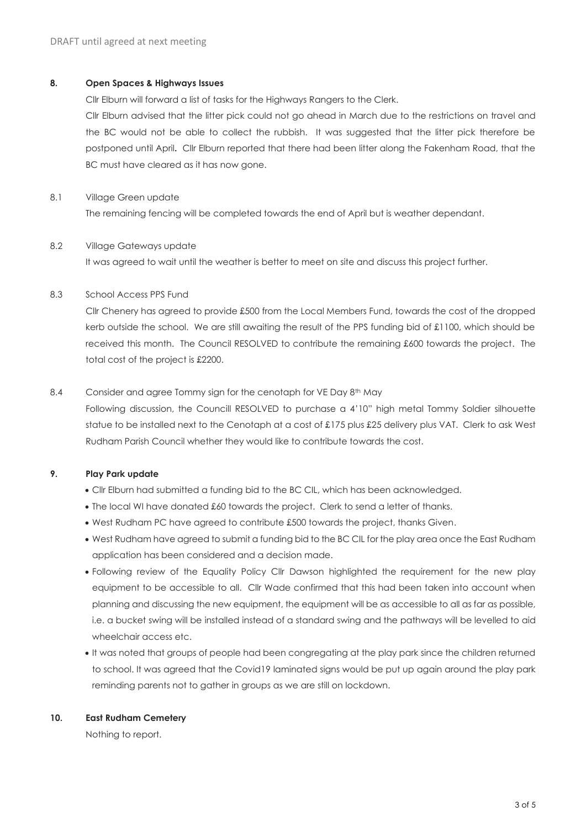#### **8. Open Spaces & Highways Issues**

Cllr Elburn will forward a list of tasks for the Highways Rangers to the Clerk.

Cllr Elburn advised that the litter pick could not go ahead in March due to the restrictions on travel and the BC would not be able to collect the rubbish. It was suggested that the litter pick therefore be postponed until April**.** Cllr Elburn reported that there had been litter along the Fakenham Road, that the BC must have cleared as it has now gone.

## 8.1 Village Green update

The remaining fencing will be completed towards the end of April but is weather dependant.

## 8.2 Village Gateways update

It was agreed to wait until the weather is better to meet on site and discuss this project further.

## 8.3 School Access PPS Fund

Cllr Chenery has agreed to provide £500 from the Local Members Fund, towards the cost of the dropped kerb outside the school. We are still awaiting the result of the PPS funding bid of £1100, which should be received this month. The Council RESOLVED to contribute the remaining £600 towards the project. The total cost of the project is £2200.

# 8.4 Consider and agree Tommy sign for the cenotaph for VE Day 8<sup>th</sup> May

Following discussion, the Councill RESOLVED to purchase a 4'10" high metal Tommy Soldier silhouette statue to be installed next to the Cenotaph at a cost of £175 plus £25 delivery plus VAT. Clerk to ask West Rudham Parish Council whether they would like to contribute towards the cost.

# **9. Play Park update**

- Cllr Elburn had submitted a funding bid to the BC CIL, which has been acknowledged.
- The local WI have donated £60 towards the project. Clerk to send a letter of thanks.
- West Rudham PC have agreed to contribute £500 towards the project, thanks Given.
- West Rudham have agreed to submit a funding bid to the BC CIL for the play area once the East Rudham application has been considered and a decision made.
- Following review of the Equality Policy Cllr Dawson highlighted the requirement for the new play equipment to be accessible to all. Cllr Wade confirmed that this had been taken into account when planning and discussing the new equipment, the equipment will be as accessible to all as far as possible, i.e. a bucket swing will be installed instead of a standard swing and the pathways will be levelled to aid wheelchair access etc.
- It was noted that groups of people had been congregating at the play park since the children returned to school. It was agreed that the Covid19 laminated signs would be put up again around the play park reminding parents not to gather in groups as we are still on lockdown.

## **10. East Rudham Cemetery**

Nothing to report.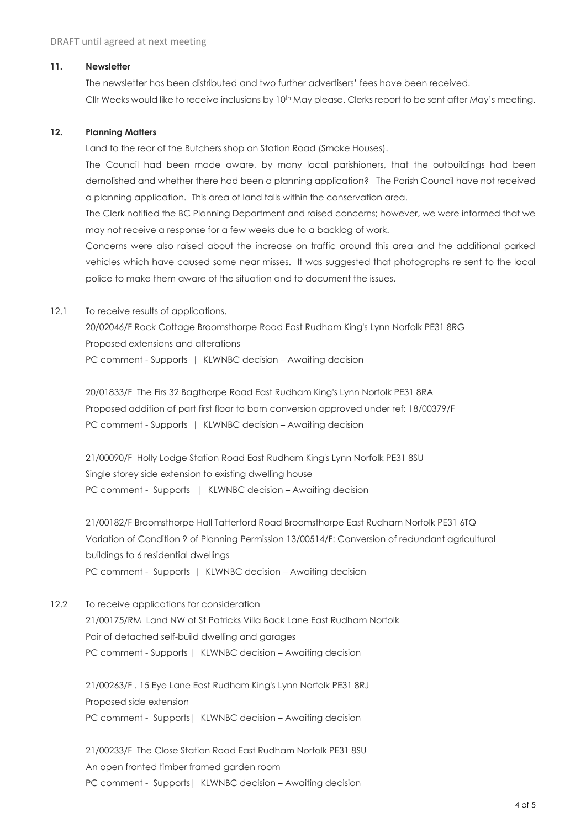#### **11. Newsletter**

The newsletter has been distributed and two further advertisers' fees have been received. Cllr Weeks would like to receive inclusions by 10<sup>th</sup> May please. Clerks report to be sent after May's meeting.

#### **12. Planning Matters**

Land to the rear of the Butchers shop on Station Road (Smoke Houses).

The Council had been made aware, by many local parishioners, that the outbuildings had been demolished and whether there had been a planning application? The Parish Council have not received a planning application. This area of land falls within the conservation area.

The Clerk notified the BC Planning Department and raised concerns; however, we were informed that we may not receive a response for a few weeks due to a backlog of work.

Concerns were also raised about the increase on traffic around this area and the additional parked vehicles which have caused some near misses. It was suggested that photographs re sent to the local police to make them aware of the situation and to document the issues.

#### 12.1 To receive results of applications.

20/02046/F Rock Cottage Broomsthorpe Road East Rudham King's Lynn Norfolk PE31 8RG Proposed extensions and alterations PC comment - Supports | KLWNBC decision – Awaiting decision

20/01833/F The Firs 32 Bagthorpe Road East Rudham King's Lynn Norfolk PE31 8RA Proposed addition of part first floor to barn conversion approved under ref: 18/00379/F PC comment - Supports | KLWNBC decision – Awaiting decision

21/00090/F Holly Lodge Station Road East Rudham King's Lynn Norfolk PE31 8SU Single storey side extension to existing dwelling house PC comment - Supports | KLWNBC decision – Awaiting decision

21/00182/F Broomsthorpe Hall Tatterford Road Broomsthorpe East Rudham Norfolk PE31 6TQ Variation of Condition 9 of Planning Permission 13/00514/F: Conversion of redundant agricultural buildings to 6 residential dwellings PC comment - Supports | KLWNBC decision – Awaiting decision

12.2 To receive applications for consideration 21/00175/RM Land NW of St Patricks Villa Back Lane East Rudham Norfolk Pair of detached self-build dwelling and garages PC comment - Supports | KLWNBC decision – Awaiting decision

21/00263/F . 15 Eye Lane East Rudham King's Lynn Norfolk PE31 8RJ Proposed side extension PC comment - Supports | KLWNBC decision – Awaiting decision

21/00233/F The Close Station Road East Rudham Norfolk PE31 8SU An open fronted timber framed garden room PC comment - Supports | KLWNBC decision – Awaiting decision